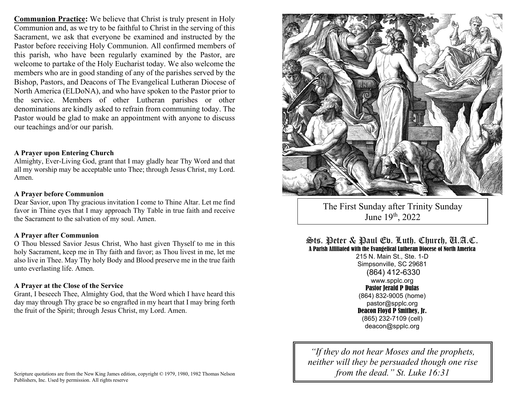**Communion Practice:** We believe that Christ is truly present in Holy Communion and, as we try to be faithful to Christ in the serving of this Sacrament, we ask that everyone be examined and instructed by the Pastor before receiving Holy Communion. All confirmed members of this parish, who have been regularly examined by the Pastor, are welcome to partake of the Holy Eucharist today. We also welcome the members who are in good standing of any of the parishes served by the Bishop, Pastors, and Deacons of The Evangelical Lutheran Diocese of North America (ELDoNA), and who have spoken to the Pastor prior to the service. Members of other Lutheran parishes or other denominations are kindly asked to refrain from communing today. The Pastor would be glad to make an appointment with anyone to discuss our teachings and/or our parish.

### **A Prayer upon Entering Church**

Almighty, Ever-Living God, grant that I may gladly hear Thy Word and that all my worship may be acceptable unto Thee; through Jesus Christ, my Lord. Amen.

#### **A Prayer before Communion**

Dear Savior, upon Thy gracious invitation I come to Thine Altar. Let me find favor in Thine eyes that I may approach Thy Table in true faith and receive the Sacrament to the salvation of my soul. Amen.

#### **A Prayer after Communion**

O Thou blessed Savior Jesus Christ, Who hast given Thyself to me in this holy Sacrament, keep me in Thy faith and favor; as Thou livest in me, let me also live in Thee. May Thy holy Body and Blood preserve me in the true faith unto everlasting life. Amen.

#### **A Prayer at the Close of the Service**

Grant, I beseech Thee, Almighty God, that the Word which I have heard this day may through Thy grace be so engrafted in my heart that I may bring forth the fruit of the Spirit; through Jesus Christ, my Lord. Amen.



The First Sunday after Trinity Sunday June 19<sup>th</sup>, 2022

Sts. Peter & Paul Ev. Luth. Church, U.A.C. A Parish Affiliated with the Evangelical Lutheran Diocese of North America

215 N. Main St., Ste. 1-D Simpsonville, SC 29681 (864) 412-6330 www.spplc.org Pastor Jerald P Dulas (864) 832-9005 (home) pastor@spplc.org Deacon Floyd P Smithey, Jr. (865) 232-7109 (cell) deacon@spplc.org

*"If they do not hear Moses and the prophets, neither will they be persuaded though one rise from the dead." St. Luke 16:31*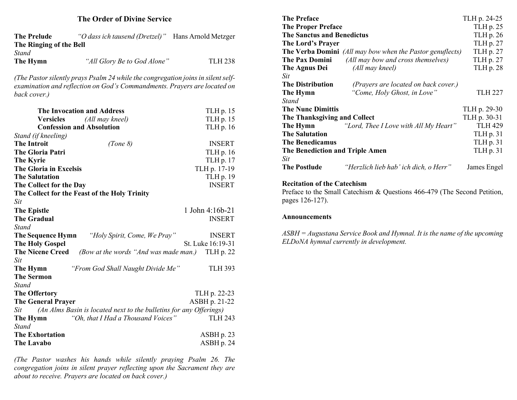### **The Order of Divine Service**

| The Prelude             | "O dass ich tausend (Dretzel)" | Hans Arnold Metzger |
|-------------------------|--------------------------------|---------------------|
| The Ringing of the Bell |                                |                     |
| Stand                   |                                |                     |
| The Hymn                | "All Glory Be to God Alone"    | <b>TLH 238</b>      |

*(The Pastor silently prays Psalm 24 while the congregation joins in silent selfexamination and reflection on God's Commandments. Prayers are located on back cover.)*

| <b>The Invocation and Address</b>                                          | TLH p. 15         |
|----------------------------------------------------------------------------|-------------------|
| <b>Versicles</b> (All may kneel)                                           | TLH p. 15         |
| <b>Confession and Absolution</b>                                           | TLH p. 16         |
| Stand (if kneeling)                                                        |                   |
| <b>The Introit</b><br>(Tone 8)                                             | <b>INSERT</b>     |
| <b>The Gloria Patri</b>                                                    | TLH p. 16         |
| <b>The Kyrie</b>                                                           | TLH p. 17         |
| <b>The Gloria in Excelsis</b>                                              | TLH p. 17-19      |
| <b>The Salutation</b>                                                      | TLH p. 19         |
| The Collect for the Day                                                    | <b>INSERT</b>     |
| The Collect for the Feast of the Holy Trinity                              |                   |
| Sit                                                                        |                   |
| <b>The Epistle</b>                                                         | 1 John 4:16b-21   |
| <b>The Gradual</b>                                                         | <b>INSERT</b>     |
| Stand                                                                      |                   |
| <b>The Sequence Hymn</b> "Holy Spirit, Come, We Pray"                      | <b>INSERT</b>     |
| <b>The Holy Gospel</b>                                                     | St. Luke 16:19-31 |
| <b>The Nicene Creed</b><br>(Bow at the words "And was made man.) TLH p. 22 |                   |
| Sit                                                                        |                   |
| The Hymn<br>"From God Shall Naught Divide Me"                              | <b>TLH 393</b>    |
| <b>The Sermon</b>                                                          |                   |
| Stand                                                                      |                   |
| <b>The Offertory</b>                                                       | TLH p. 22-23      |
| <b>The General Prayer</b>                                                  | ASBH p. 21-22     |
| (An Alms Basin is located next to the bulletins for any Offerings)<br>Sit  |                   |
| "Oh, that I Had a Thousand Voices"<br>The Hymn                             | <b>TLH 243</b>    |
| <b>Stand</b>                                                               |                   |
| <b>The Exhortation</b>                                                     | ASBH p. 23        |
| <b>The Lavabo</b>                                                          | ASBH p. 24        |

*(The Pastor washes his hands while silently praying Psalm 26. The congregation joins in silent prayer reflecting upon the Sacrament they are about to receive. Prayers are located on back cover.)*

| <b>The Preface</b>                |                                                                  | TLH p. 24-25   |
|-----------------------------------|------------------------------------------------------------------|----------------|
| <b>The Proper Preface</b>         |                                                                  | TLH p. 25      |
| <b>The Sanctus and Benedictus</b> |                                                                  | TLH p. 26      |
| The Lord's Prayer                 |                                                                  | TLH p. 27      |
|                                   | <b>The Verba Domini</b> (All may bow when the Pastor genuflects) | TLH p. 27      |
| The Pax Domini                    | (All may bow and cross themselves)                               | TLH p. 27      |
| The Agnus Dei                     | (All may kneel)                                                  | TLH p. 28      |
| Sit                               |                                                                  |                |
| <b>The Distribution</b>           | (Prayers are located on back cover.)                             |                |
| The Hymn                          | "Come, Holy Ghost, in Love"                                      | <b>TLH 227</b> |
| Stand                             |                                                                  |                |
| <b>The Nunc Dimittis</b>          |                                                                  | TLH p. 29-30   |
| The Thanksgiving and Collect      | TLH p. 30-31                                                     |                |
|                                   | <b>The Hymn</b> "Lord, Thee I Love with All My Heart"            | <b>TLH 429</b> |
| <b>The Salutation</b>             |                                                                  | TLH p. 31      |
| <b>The Benedicamus</b>            |                                                                  | TLH p. 31      |
| The Benediction and Triple Amen   | TLH p. 31                                                        |                |
| Sit                               |                                                                  |                |
| <b>The Postlude</b>               | "Herzlich lieb hab' ich dich, o Herr"                            | James Engel    |
|                                   |                                                                  |                |

### **Recitation of the Catechism**

Preface to the Small Catechism & Questions 466-479 (The Second Petition, pages 126-127).

#### **Announcements**

*ASBH = Augustana Service Book and Hymnal. It is the name of the upcoming ELDoNA hymnal currently in development.*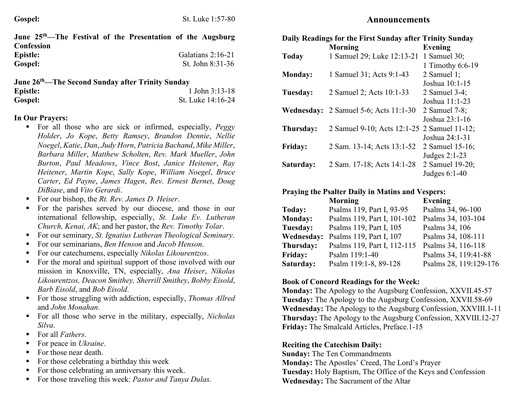| June 25 <sup>th</sup> —The Festival of the Presentation of the Augsburg |  |  |                   |
|-------------------------------------------------------------------------|--|--|-------------------|
| Confession                                                              |  |  |                   |
| Epistle:                                                                |  |  | Galatians 2:16-21 |
| Gospel:                                                                 |  |  | St. John 8:31-36  |

| June 26 <sup>th</sup> —The Second Sunday after Trinity Sunday |                   |  |
|---------------------------------------------------------------|-------------------|--|
| <b>Epistle:</b>                                               | 1 John $3:13-18$  |  |
| Gospel:                                                       | St. Luke 14:16-24 |  |

# **In Our Prayers:**

- For all those who are sick or infirmed, especially, *Peggy Holder*, *Jo Kope*, *Betty Ramsey*, *Brandon Dennie*, *Nellie Noegel*, *Katie*, *Dan*, *Judy Horn*, *Patricia Bachand*, *Mike Miller*, *Barbara Miller*, *Matthew Scholten*, *Rev. Mark Mueller*, *John Burton*, *Paul Meadows*, *Vince Bost*, *Janice Heitener*, *Ray Heitener*, *Martin Kope*, *Sally Kope*, *William Noegel*, *Bruce Carter*, *Ed Payne*, *James Hagen*, *Rev. Ernest Bernet*, *Doug DiBiase*, and *Vito Gerardi*.
- For our bishop, the *Rt. Rev. James D. Heiser*.
- For the parishes served by our diocese, and those in our international fellowship, especially, *St. Luke Ev. Lutheran Church, Kenai, AK*; and her pastor, the *Rev. Timothy Tolar*.
- For our seminary, *St. Ignatius Lutheran Theological Seminary*.
- For our seminarians, *Ben Henson* and *Jacob Henson*.
- For our catechumens, especially *Nikolas Likourentzos*.
- For the moral and spiritual support of those involved with our mission in Knoxville, TN, especially, *Ana Heiser*, *Nikolas Likourentzos, Deacon Smithey, Sherrill Smithey*, *Bobby Eisold*, *Barb Eisold*, and *Bob Eisold*.
- For those struggling with addiction, especially, *Thomas Allred* and *John Monahan*.
- For all those who serve in the military, especially, *Nicholas Silva*.
- For all *Fathers*.
- For peace in *Ukraine*.
- For those near death.
- For those celebrating a birthday this week
- For those celebrating an anniversary this week.
- For those traveling this week: *Pastor and Tanya Dulas*.

| Daily Readings for the First Sunday after Trinity Sunday |                                             |                  |
|----------------------------------------------------------|---------------------------------------------|------------------|
|                                                          | Morning                                     | <b>Evening</b>   |
| <b>Today</b>                                             | 1 Samuel 29; Luke 12:13-21                  | 1 Samuel $30$ ;  |
|                                                          |                                             | 1 Timothy 6:6-19 |
| <b>Monday:</b>                                           | 1 Samuel 31; Acts 9:1-43                    | 2 Samuel 1;      |
|                                                          |                                             | Joshua 10:1-15   |
| Tuesday:                                                 | 2 Samuel 2; Acts 10:1-33                    | 2 Samuel 3-4;    |
|                                                          |                                             | Joshua 11:1-23   |
| Wednesday:                                               | 2 Samuel 5-6; Acts 11:1-30                  | 2 Samuel $7-8$ ; |
|                                                          |                                             | Joshua 23:1-16   |
| Thursday:                                                | 2 Samuel 9-10; Acts 12:1-25 2 Samuel 11-12; |                  |
|                                                          |                                             | Joshua 24:1-31   |
| <b>Friday:</b>                                           | 2 Sam. 13-14; Acts 13:1-52                  | 2 Samuel 15-16;  |
|                                                          |                                             | Judges $2:1-23$  |
| Saturday:                                                | 2 Sam. 17-18; Acts 14:1-28                  | 2 Samuel 19-20;  |
|                                                          |                                             | Judges $6:1-40$  |

# **Praying the Psalter Daily in Matins and Vespers:**

|                   | <b>Morning</b>              | <b>Evening</b>         |
|-------------------|-----------------------------|------------------------|
| Today:            | Psalms 119, Part I, 93-95   | Psalms 34, 96-100      |
| <b>Monday:</b>    | Psalms 119, Part I, 101-102 | Psalms 34, 103-104     |
| Tuesday:          | Psalms 119, Part I, 105     | Psalms 34, 106         |
| <b>Wednesday:</b> | Psalms 119, Part I, 107     | Psalms 34, 108-111     |
| Thursday:         | Psalms 119, Part I, 112-115 | Psalms 34, 116-118     |
| <b>Friday:</b>    | Psalm 119:1-40              | Psalms 34, 119:41-88   |
| Saturday:         | Psalm 119:1-8, 89-128       | Psalms 28, 119:129-176 |
|                   |                             |                        |

# **Book of Concord Readings for the Week:**

**Monday:** The Apology to the Augsburg Confession, XXVII.45-57 **Tuesday:** The Apology to the Augsburg Confession, XXVII.58-69 **Wednesday:** The Apology to the Augsburg Confession, XXVIII.1-11 **Thursday:** The Apology to the Augsburg Confession, XXVIII.12-27 **Friday:** The Smalcald Articles, Preface.1-15

# **Reciting the Catechism Daily:**

**Sunday:** The Ten Commandments **Monday:** The Apostles' Creed, The Lord's Prayer **Tuesday:** Holy Baptism, The Office of the Keys and Confession **Wednesday:** The Sacrament of the Altar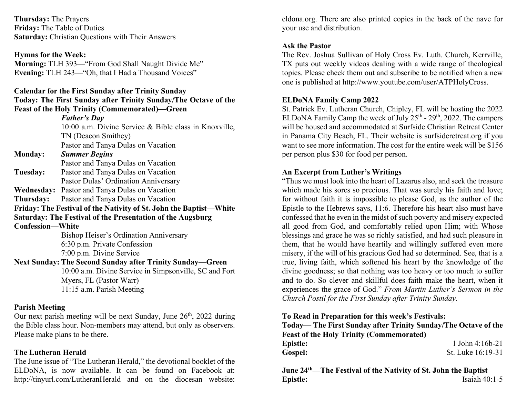**Thursday:** The Prayers **Friday:** The Table of Duties **Saturday:** Christian Questions with Their Answers

#### **Hymns for the Week:**

**Morning:** TLH 393—"From God Shall Naught Divide Me" **Evening:** TLH 243—"Oh, that I Had a Thousand Voices"

#### **Calendar for the First Sunday after Trinity Sunday**

**Today: The First Sunday after Trinity Sunday/The Octave of the Feast of the Holy Trinity (Commemorated)—Green**

> *Father's Day* 10:00 a.m. Divine Service & Bible class in Knoxville, TN (Deacon Smithey) Pastor and Tanya Dulas on Vacation

# **Monday:** *Summer Begins*

Pastor and Tanya Dulas on Vacation

- **Tuesday:** Pastor and Tanya Dulas on Vacation Pastor Dulas' Ordination Anniversary
- **Wednesday:** Pastor and Tanya Dulas on Vacation

**Thursday:** Pastor and Tanya Dulas on Vacation

**Friday: The Festival of the Nativity of St. John the Baptist—White Saturday: The Festival of the Presentation of the Augsburg** 

**Confession—White**

Bishop Heiser's Ordination Anniversary 6:30 p.m. Private Confession 7:00 p.m. Divine Service

**Next Sunday: The Second Sunday after Trinity Sunday—Green**

10:00 a.m. Divine Service in Simpsonville, SC and Fort Myers, FL (Pastor Warr) 11:15 a.m. Parish Meeting

## **Parish Meeting**

Our next parish meeting will be next Sunday, June  $26<sup>th</sup>$ , 2022 during the Bible class hour. Non-members may attend, but only as observers. Please make plans to be there.

## **The Lutheran Herald**

The June issue of "The Lutheran Herald," the devotional booklet of the ELDoNA, is now available. It can be found on Facebook at: http://tinyurl.com/LutheranHerald and on the diocesan website:

eldona.org. There are also printed copies in the back of the nave for your use and distribution.

### **Ask the Pastor**

The Rev. Joshua Sullivan of Holy Cross Ev. Luth. Church, Kerrville, TX puts out weekly videos dealing with a wide range of theological topics. Please check them out and subscribe to be notified when a new one is published at http://www.youtube.com/user/ATPHolyCross.

## **ELDoNA Family Camp 2022**

St. Patrick Ev. Lutheran Church, Chipley, FL will be hosting the 2022 ELDoNA Family Camp the week of July  $25<sup>th</sup>$  -  $29<sup>th</sup>$ , 2022. The campers will be housed and accommodated at Surfside Christian Retreat Center in Panama City Beach, FL. Their website is surfsideretreat.org if you want to see more information. The cost for the entire week will be \$156 per person plus \$30 for food per person.

### **An Excerpt from Luther's Writings**

"Thus we must look into the heart of Lazarus also, and seek the treasure which made his sores so precious. That was surely his faith and love; for without faith it is impossible to please God, as the author of the Epistle to the Hebrews says, 11:6. Therefore his heart also must have confessed that he even in the midst of such poverty and misery expected all good from God, and comfortably relied upon Him; with Whose blessings and grace he was so richly satisfied, and had such pleasure in them, that he would have heartily and willingly suffered even more misery, if the will of his gracious God had so determined. See, that is a true, living faith, which softened his heart by the knowledge of the divine goodness; so that nothing was too heavy or too much to suffer and to do. So clever and skillful does faith make the heart, when it experiences the grace of God." *From Martin Luther's Sermon in the Church Postil for the First Sunday after Trinity Sunday.*

**To Read in Preparation for this week's Festivals:**

|                                                 | Today— The First Sunday after Trinity Sunday/The Octave of the |  |
|-------------------------------------------------|----------------------------------------------------------------|--|
| <b>Feast of the Holy Trinity (Commemorated)</b> |                                                                |  |
| <b>Epistle:</b>                                 | $1$ John $4:16b-21$                                            |  |
| <b>Gospel:</b>                                  | St. Luke 16:19-31                                              |  |

**June 24th—The Festival of the Nativity of St. John the Baptist Epistle:** Isaiah 40:1-5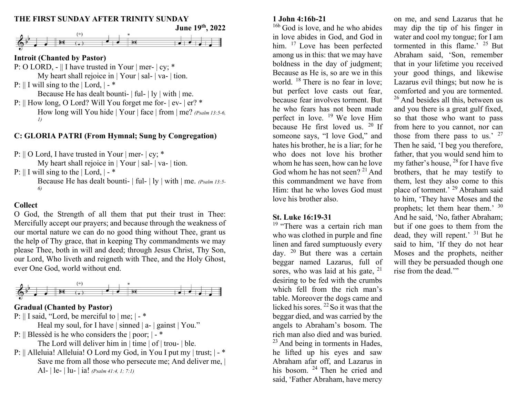# **THE FIRST SUNDAY AFTER TRINITY SUNDAY**



# **Introit (Chanted by Pastor)**

P: O LORD, - || I have trusted in Your | mer- | cy; \* My heart shall rejoice in | Your | sal- | va- | tion.

- P:  $\parallel$  I will sing to the  $\parallel$  Lord,  $\parallel$   $\parallel$ Because He has dealt bounti-  $\vert$  ful- $\vert$  ly  $\vert$  with  $\vert$  me. P: || How long, O Lord? Will You forget me for- | ev- | er? \* How long will You hide | Your | face | from | me? *(Psalm 13:5-6,* 
	- *1)*

# **C: GLORIA PATRI (From Hymnal; Sung by Congregation)**

P:  $\parallel$  O Lord, I have trusted in Your | mer- | cy; \*

My heart shall rejoice in | Your | sal- | va- | tion.

P:  $\parallel$  I will sing to the  $\parallel$  Lord,  $\parallel$  -  $\ast$ 

Because He has dealt bounti- | ful- | ly | with | me. *(Psalm 13:5- 6)*

# **Collect**

O God, the Strength of all them that put their trust in Thee: Mercifully accept our prayers; and because through the weakness of our mortal nature we can do no good thing without Thee, grant us the help of Thy grace, that in keeping Thy commandments we may please Thee, both in will and deed; through Jesus Christ, Thy Son, our Lord, Who liveth and reigneth with Thee, and the Holy Ghost, ever One God, world without end.



# **Gradual (Chanted by Pastor)**

P: || I said, "Lord, be merciful to | me; | - \*

Heal my soul, for I have | sinned | a- | gainst | You."

- P: || Blessèd is he who considers the | poor; | \* The Lord will deliver him in | time | of | trou- | ble.
- P: || Alleluia! Alleluia! O Lord my God, in You I put my | trust; | \* Save me from all those who persecute me; And deliver me,  $|$ Al- | le- | lu- | ia! *(Psalm 41:4, 1; 7:1)*

## **1 John 4:16b-21**

<sup>16b</sup> God is love, and he who abides in love abides in God, and God in him. <sup>17</sup> Love has been perfected among us in this: that we may have boldness in the day of judgment; Because as He is, so are we in this world.  $18$  There is no fear in love; but perfect love casts out fear, because fear involves torment. But he who fears has not been made perfect in love.  $19$  We love Him because He first loved us. <sup>20</sup> If someone says, "I love God," and hates his brother, he is a liar; for he who does not love his brother whom he has seen, how can he love God whom he has not seen?  $2<sup>1</sup>$  And this commandment we have from Him: that he who loves God must love his brother also.

## **St. Luke 16:19-31**

<sup>19</sup> "There was a certain rich man who was clothed in purple and fine linen and fared sumptuously every day.  $20$  But there was a certain beggar named Lazarus, full of sores, who was laid at his gate, <sup>21</sup> desiring to be fed with the crumbs which fell from the rich man's table. Moreover the dogs came and licked his sores.  $^{22}$  So it was that the beggar died, and was carried by the angels to Abraham's bosom. The rich man also died and was buried.  $23$  And being in torments in Hades, he lifted up his eyes and saw Abraham afar off, and Lazarus in his bosom. <sup>24</sup> Then he cried and said, 'Father Abraham, have mercy

on me, and send Lazarus that he may dip the tip of his finger in water and cool my tongue; for I am tormented in this flame.'  $25$  But Abraham said, 'Son, remember that in your lifetime you received your good things, and likewise Lazarus evil things; but now he is comforted and you are tormented.  $26$  And besides all this, between us and you there is a great gulf fixed, so that those who want to pass from here to you cannot, nor can those from there pass to us.' <sup>27</sup> Then he said, 'I beg you therefore, father, that you would send him to my father's house,  $^{28}$  for I have five brothers, that he may testify to them, lest they also come to this place of torment.' <sup>29</sup> Abraham said to him, 'They have Moses and the prophets; let them hear them.' <sup>30</sup> And he said, 'No, father Abraham; but if one goes to them from the dead, they will repent.' <sup>31</sup> But he said to him, 'If they do not hear Moses and the prophets, neither will they be persuaded though one rise from the dead.""